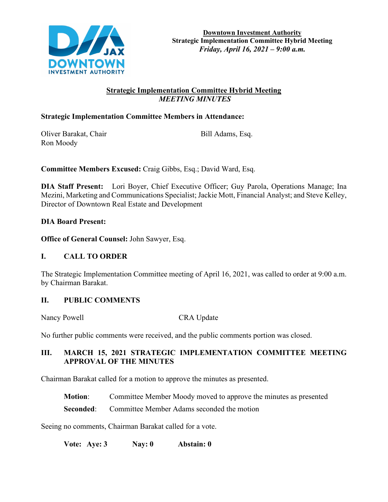

# **Strategic Implementation Committee Hybrid Meeting**  *MEETING MINUTES*

## **Strategic Implementation Committee Members in Attendance:**

Oliver Barakat, Chair Bill Adams, Esq. Ron Moody

**Committee Members Excused:** Craig Gibbs, Esq.; David Ward, Esq.

**DIA Staff Present:** Lori Boyer, Chief Executive Officer; Guy Parola, Operations Manage; Ina Mezini, Marketing and Communications Specialist; Jackie Mott, Financial Analyst; and Steve Kelley, Director of Downtown Real Estate and Development

**DIA Board Present:**

**Office of General Counsel:** John Sawyer, Esq.

### **I. CALL TO ORDER**

The Strategic Implementation Committee meeting of April 16, 2021, was called to order at 9:00 a.m. by Chairman Barakat.

### **II. PUBLIC COMMENTS**

Nancy Powell CRA Update

No further public comments were received, and the public comments portion was closed.

# **III. MARCH 15, 2021 STRATEGIC IMPLEMENTATION COMMITTEE MEETING APPROVAL OF THE MINUTES**

Chairman Barakat called for a motion to approve the minutes as presented.

**Motion:** Committee Member Moody moved to approve the minutes as presented

**Seconded:** Committee Member Adams seconded the motion

Seeing no comments, Chairman Barakat called for a vote.

**Vote: Aye: 3 Nay: 0 Abstain: 0**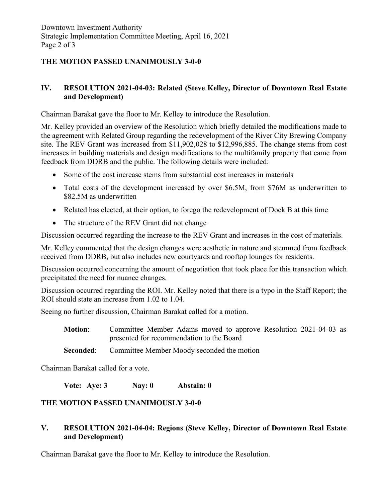# **THE MOTION PASSED UNANIMOUSLY 3-0-0**

### **IV. RESOLUTION 2021-04-03: Related (Steve Kelley, Director of Downtown Real Estate and Development)**

Chairman Barakat gave the floor to Mr. Kelley to introduce the Resolution.

Mr. Kelley provided an overview of the Resolution which briefly detailed the modifications made to the agreement with Related Group regarding the redevelopment of the River City Brewing Company site. The REV Grant was increased from \$11,902,028 to \$12,996,885. The change stems from cost increases in building materials and design modifications to the multifamily property that came from feedback from DDRB and the public. The following details were included:

- Some of the cost increase stems from substantial cost increases in materials
- Total costs of the development increased by over \$6.5M, from \$76M as underwritten to \$82.5M as underwritten
- Related has elected, at their option, to forego the redevelopment of Dock B at this time
- The structure of the REV Grant did not change

Discussion occurred regarding the increase to the REV Grant and increases in the cost of materials.

Mr. Kelley commented that the design changes were aesthetic in nature and stemmed from feedback received from DDRB, but also includes new courtyards and rooftop lounges for residents.

Discussion occurred concerning the amount of negotiation that took place for this transaction which precipitated the need for nuance changes.

Discussion occurred regarding the ROI. Mr. Kelley noted that there is a typo in the Staff Report; the ROI should state an increase from 1.02 to 1.04.

Seeing no further discussion, Chairman Barakat called for a motion.

**Motion**: Committee Member Adams moved to approve Resolution 2021-04-03 as presented for recommendation to the Board

**Seconded:** Committee Member Moody seconded the motion

Chairman Barakat called for a vote.

**Vote: Aye: 3 Nay: 0 Abstain: 0** 

### **THE MOTION PASSED UNANIMOUSLY 3-0-0**

### **V. RESOLUTION 2021-04-04: Regions (Steve Kelley, Director of Downtown Real Estate and Development)**

Chairman Barakat gave the floor to Mr. Kelley to introduce the Resolution.